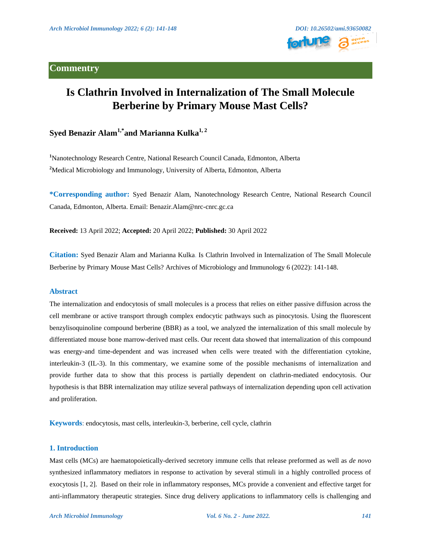

# **Is Clathrin Involved in Internalization of The Small Molecule Berberine by Primary Mouse Mast Cells?**

# **Syed Benazir Alam1,\*and Marianna Kulka1, 2**

**<sup>1</sup>**Nanotechnology Research Centre, National Research Council Canada, Edmonton, Alberta **<sup>2</sup>**Medical Microbiology and Immunology, University of Alberta, Edmonton, Alberta

**\*Corresponding author:** Syed Benazir Alam, Nanotechnology Research Centre, National Research Council Canada, Edmonton, Alberta. Email: Benazir.Alam@nrc-cnrc.gc.ca

**Received:** 13 April 2022; **Accepted:** 20 April 2022; **Published:** 30 April 2022

**Citation:** Syed Benazir Alam and Marianna Kulka. Is Clathrin Involved in Internalization of The Small Molecule Berberine by Primary Mouse Mast Cells? Archives of Microbiology and Immunology 6 (2022): 141-148.

# **Abstract**

The internalization and endocytosis of small molecules is a process that relies on either passive diffusion across the cell membrane or active transport through complex endocytic pathways such as pinocytosis. Using the fluorescent benzylisoquinoline compound berberine (BBR) as a tool, we analyzed the internalization of this small molecule by differentiated mouse bone marrow-derived mast cells. Our recent data showed that internalization of this compound was energy-and time-dependent and was increased when cells were treated with the differentiation cytokine, interleukin-3 (IL-3). In this commentary, we examine some of the possible mechanisms of internalization and provide further data to show that this process is partially dependent on clathrin-mediated endocytosis. Our hypothesis is that BBR internalization may utilize several pathways of internalization depending upon cell activation and proliferation.

**Keywords**: endocytosis, mast cells, interleukin-3, berberine, cell cycle, clathrin

### **1. Introduction**

Mast cells (MCs) are haematopoietically-derived secretory immune cells that release preformed as well as *de novo* synthesized inflammatory mediators in response to activation by several stimuli in a highly controlled process of exocytosis [1, 2]. Based on their role in inflammatory responses, MCs provide a convenient and effective target for anti-inflammatory therapeutic strategies. Since drug delivery applications to inflammatory cells is challenging and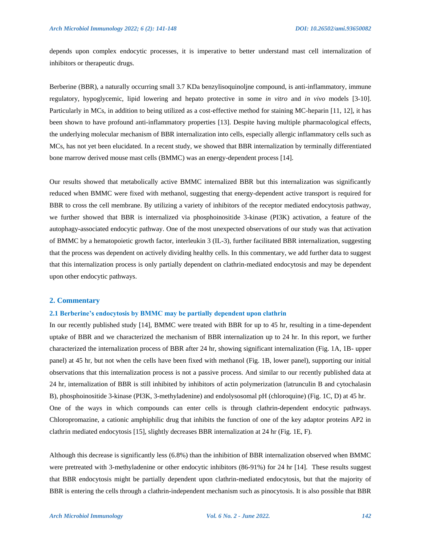depends upon complex endocytic processes, it is imperative to better understand mast cell internalization of inhibitors or therapeutic drugs.

Berberine (BBR), a naturally occurring small 3.7 KDa benzylisoquinoljne compound, is anti-inflammatory, immune regulatory, hypoglycemic, lipid lowering and hepato protective in some *in vitro* and *in vivo* models [3-10]. Particularly in MCs, in addition to being utilized as a cost-effective method for staining MC-heparin [11, 12], it has been shown to have profound anti-inflammatory properties [13]. Despite having multiple pharmacological effects, the underlying molecular mechanism of BBR internalization into cells, especially allergic inflammatory cells such as MCs, has not yet been elucidated. In a recent study, we showed that BBR internalization by terminally differentiated bone marrow derived mouse mast cells (BMMC) was an energy-dependent process [14].

Our results showed that metabolically active BMMC internalized BBR but this internalization was significantly reduced when BMMC were fixed with methanol, suggesting that energy-dependent active transport is required for BBR to cross the cell membrane. By utilizing a variety of inhibitors of the receptor mediated endocytosis pathway, we further showed that BBR is internalized via phosphoinositide 3-kinase (PI3K) activation, a feature of the autophagy-associated endocytic pathway. One of the most unexpected observations of our study was that activation of BMMC by a hematopoietic growth factor, interleukin 3 (IL-3), further facilitated BBR internalization, suggesting that the process was dependent on actively dividing healthy cells. In this commentary, we add further data to suggest that this internalization process is only partially dependent on clathrin-mediated endocytosis and may be dependent upon other endocytic pathways.

### **2. Commentary**

### **2.1 Berberine's endocytosis by BMMC may be partially dependent upon clathrin**

In our recently published study [14], BMMC were treated with BBR for up to 45 hr, resulting in a time-dependent uptake of BBR and we characterized the mechanism of BBR internalization up to 24 hr. In this report, we further characterized the internalization process of BBR after 24 hr, showing significant internalization (Fig. 1A, 1B- upper panel) at 45 hr, but not when the cells have been fixed with methanol (Fig. 1B, lower panel), supporting our initial observations that this internalization process is not a passive process. And similar to our recently published data at 24 hr, internalization of BBR is still inhibited by inhibitors of actin polymerization (latrunculin B and cytochalasin B), phosphoinositide 3-kinase (PI3K, 3-methyladenine) and endolysosomal pH (chloroquine) (Fig. 1C, D) at 45 hr. One of the ways in which compounds can enter cells is through clathrin-dependent endocytic pathways. Chloropromazine, a cationic amphiphilic drug that inhibits the function of one of the key adaptor proteins AP2 in clathrin mediated endocytosis [15], slightly decreases BBR internalization at 24 hr (Fig. 1E, F).

Although this decrease is significantly less (6.8%) than the inhibition of BBR internalization observed when BMMC were pretreated with 3-methyladenine or other endocytic inhibitors (86-91%) for 24 hr [14]. These results suggest that BBR endocytosis might be partially dependent upon clathrin-mediated endocytosis, but that the majority of BBR is entering the cells through a clathrin-independent mechanism such as pinocytosis. It is also possible that BBR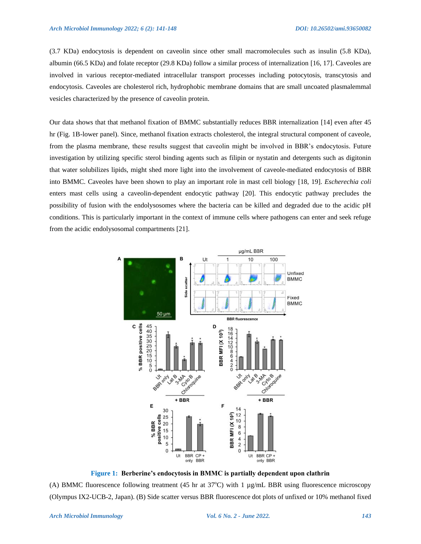(3.7 KDa) endocytosis is dependent on caveolin since other small macromolecules such as insulin (5.8 KDa), albumin (66.5 KDa) and folate receptor (29.8 KDa) follow a similar process of internalization [16, 17]. Caveoles are involved in various receptor-mediated intracellular transport processes including potocytosis, transcytosis and endocytosis. Caveoles are cholesterol rich, hydrophobic membrane domains that are small uncoated plasmalemmal vesicles characterized by the presence of caveolin protein.

Our data shows that that methanol fixation of BMMC substantially reduces BBR internalization [14] even after 45 hr (Fig. 1B-lower panel). Since, methanol fixation extracts cholesterol, the integral structural component of caveole, from the plasma membrane, these results suggest that caveolin might be involved in BBR's endocytosis. Future investigation by utilizing specific sterol binding agents such as filipin or nystatin and detergents such as digitonin that water solubilizes lipids, might shed more light into the involvement of caveole-mediated endocytosis of BBR into BMMC. Caveoles have been shown to play an important role in mast cell biology [18, 19]. *Escherechia coli* enters mast cells using a caveolin-dependent endocytic pathway [20]. This endocytic pathway precludes the possibility of fusion with the endolysosomes where the bacteria can be killed and degraded due to the acidic pH conditions. This is particularly important in the context of immune cells where pathogens can enter and seek refuge from the acidic endolysosomal compartments [21].



**Figure 1: Berberine's endocytosis in BMMC is partially dependent upon clathrin** (A) BMMC fluorescence following treatment (45 hr at  $37^{\circ}$ C) with 1 µg/mL BBR using fluorescence microscopy (Olympus IX2-UCB-2, Japan). (B) Side scatter versus BBR fluorescence dot plots of unfixed or 10% methanol fixed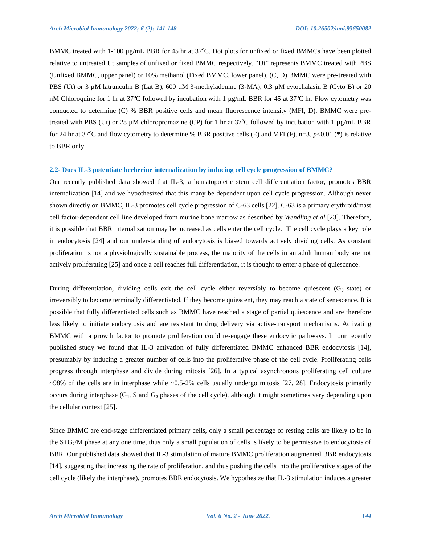BMMC treated with 1-100  $\mu$ g/mL BBR for 45 hr at 37°C. Dot plots for unfixed or fixed BMMCs have been plotted relative to untreated Ut samples of unfixed or fixed BMMC respectively. "Ut" represents BMMC treated with PBS (Unfixed BMMC, upper panel) or 10% methanol (Fixed BMMC, lower panel). (C, D) BMMC were pre-treated with PBS (Ut) or 3  $\mu$ M latrunculin B (Lat B), 600  $\mu$ M 3-methyladenine (3-MA), 0.3  $\mu$ M cytochalasin B (Cyto B) or 20 nM Chloroquine for 1 hr at  $37^{\circ}$ C followed by incubation with 1 µg/mL BBR for 45 at  $37^{\circ}$ C hr. Flow cytometry was conducted to determine (C) % BBR positive cells and mean fluorescence intensity (MFI, D). BMMC were pretreated with PBS (Ut) or 28  $\mu$ M chloropromazine (CP) for 1 hr at 37<sup>o</sup>C followed by incubation with 1  $\mu$ g/mL BBR for 24 hr at 37<sup>o</sup>C and flow cytometry to determine % BBR positive cells (E) and MFI (F). n=3.  $p<0.01$  (\*) is relative to BBR only.

#### **2.2- Does IL-3 potentiate berberine internalization by inducing cell cycle progression of BMMC?**

Our recently published data showed that IL-3, a hematopoietic stem cell differentiation factor, promotes BBR internalization [14] and we hypothesized that this many be dependent upon cell cycle progression. Although never shown directly on BMMC, IL-3 promotes cell cycle progression of C-63 cells [22]. C-63 is a primary erythroid/mast cell factor-dependent cell line developed from murine bone marrow as described by *Wendling et al* [23]. Therefore, it is possible that BBR internalization may be increased as cells enter the cell cycle. The cell cycle plays a key role in endocytosis [24] and our understanding of endocytosis is biased towards actively dividing cells. As constant proliferation is not a physiologically sustainable process, the majority of the cells in an adult human body are not actively proliferating [25] and once a cell reaches full differentiation, it is thought to enter a phase of quiescence.

During differentiation, dividing cells exit the cell cycle either reversibly to become quiescent (G**0** state) or irreversibly to become terminally differentiated. If they become quiescent, they may reach a state of senescence. It is possible that fully differentiated cells such as BMMC have reached a stage of partial quiescence and are therefore less likely to initiate endocytosis and are resistant to drug delivery via active-transport mechanisms. Activating BMMC with a growth factor to promote proliferation could re-engage these endocytic pathways. In our recently published study we found that IL-3 activation of fully differentiated BMMC enhanced BBR endocytosis [14], presumably by inducing a greater number of cells into the proliferative phase of the cell cycle. Proliferating cells progress through interphase and divide during mitosis [26]. In a typical asynchronous proliferating cell culture  $\sim$ 98% of the cells are in interphase while  $\sim$ 0.5-2% cells usually undergo mitosis [27, 28]. Endocytosis primarily occurs during interphase (G**1**, S and G**<sup>2</sup>** phases of the cell cycle), although it might sometimes vary depending upon the cellular context [25].

Since BMMC are end-stage differentiated primary cells, only a small percentage of resting cells are likely to be in the  $S+G<sub>2</sub>/M$  phase at any one time, thus only a small population of cells is likely to be permissive to endocytosis of BBR. Our published data showed that IL-3 stimulation of mature BMMC proliferation augmented BBR endocytosis [14], suggesting that increasing the rate of proliferation, and thus pushing the cells into the proliferative stages of the cell cycle (likely the interphase), promotes BBR endocytosis. We hypothesize that IL-3 stimulation induces a greater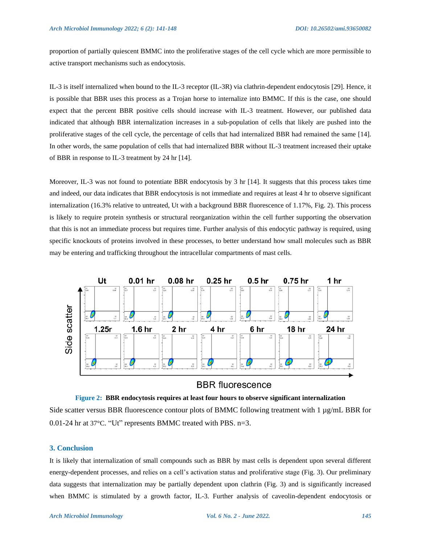proportion of partially quiescent BMMC into the proliferative stages of the cell cycle which are more permissible to active transport mechanisms such as endocytosis.

IL-3 is itself internalized when bound to the IL-3 receptor (IL-3R) via clathrin-dependent endocytosis [29]. Hence, it is possible that BBR uses this process as a Trojan horse to internalize into BMMC. If this is the case, one should expect that the percent BBR positive cells should increase with IL-3 treatment. However, our published data indicated that although BBR internalization increases in a sub-population of cells that likely are pushed into the proliferative stages of the cell cycle, the percentage of cells that had internalized BBR had remained the same [14]. In other words, the same population of cells that had internalized BBR without IL-3 treatment increased their uptake of BBR in response to IL-3 treatment by 24 hr [14].

Moreover, IL-3 was not found to potentiate BBR endocytosis by 3 hr [14]. It suggests that this process takes time and indeed, our data indicates that BBR endocytosis is not immediate and requires at least 4 hr to observe significant internalization (16.3% relative to untreated, Ut with a background BBR fluorescence of 1.17%, Fig. 2). This process is likely to require protein synthesis or structural reorganization within the cell further supporting the observation that this is not an immediate process but requires time. Further analysis of this endocytic pathway is required, using specific knockouts of proteins involved in these processes, to better understand how small molecules such as BBR may be entering and trafficking throughout the intracellular compartments of mast cells.



# **BBR** fluorescence



# **3. Conclusion**

It is likely that internalization of small compounds such as BBR by mast cells is dependent upon several different energy-dependent processes, and relies on a cell's activation status and proliferative stage (Fig. 3). Our preliminary data suggests that internalization may be partially dependent upon clathrin (Fig. 3) and is significantly increased when BMMC is stimulated by a growth factor, IL-3. Further analysis of caveolin-dependent endocytosis or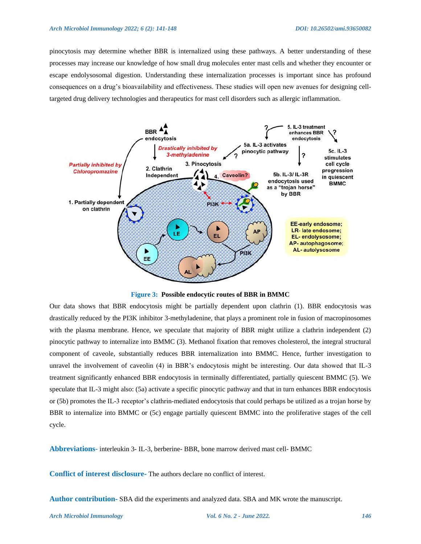#### *Arch Microbiol Immunology 2022; 6 (2): 141-148 DOI: 10.26502/ami.93650082*

pinocytosis may determine whether BBR is internalized using these pathways. A better understanding of these processes may increase our knowledge of how small drug molecules enter mast cells and whether they encounter or escape endolysosomal digestion. Understanding these internalization processes is important since has profound consequences on a drug's bioavailability and effectiveness. These studies will open new avenues for designing celltargeted drug delivery technologies and therapeutics for mast cell disorders such as allergic inflammation.



**Figure 3: Possible endocytic routes of BBR in BMMC**

Our data shows that BBR endocytosis might be partially dependent upon clathrin (1). BBR endocytosis was drastically reduced by the PI3K inhibitor 3-methyladenine, that plays a prominent role in fusion of macropinosomes with the plasma membrane. Hence, we speculate that majority of BBR might utilize a clathrin independent (2) pinocytic pathway to internalize into BMMC (3). Methanol fixation that removes cholesterol, the integral structural component of caveole, substantially reduces BBR internalization into BMMC. Hence, further investigation to unravel the involvement of caveolin (4) in BBR's endocytosis might be interesting. Our data showed that IL-3 treatment significantly enhanced BBR endocytosis in terminally differentiated, partially quiescent BMMC (5). We speculate that IL-3 might also: (5a) activate a specific pinocytic pathway and that in turn enhances BBR endocytosis or (5b) promotes the IL-3 receptor's clathrin-mediated endocytosis that could perhaps be utilized as a trojan horse by BBR to internalize into BMMC or (5c) engage partially quiescent BMMC into the proliferative stages of the cell cycle.

**Abbreviations**- interleukin 3- IL-3, berberine- BBR, bone marrow derived mast cell- BMMC

**Conflict of interest disclosure-** The authors declare no conflict of interest.

**Author contribution-** SBA did the experiments and analyzed data. SBA and MK wrote the manuscript.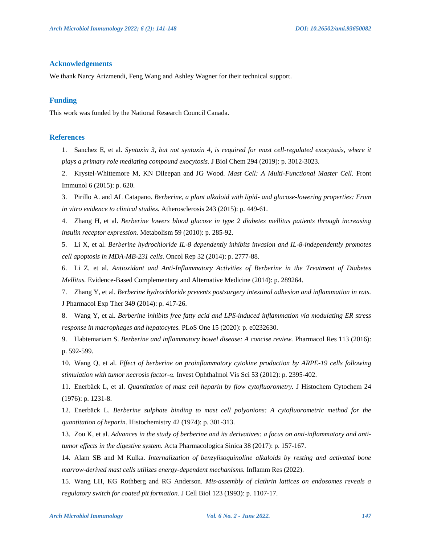## **Acknowledgements**

We thank Narcy Arizmendi, Feng Wang and Ashley Wagner for their technical support.

### **Funding**

This work was funded by the National Research Council Canada.

### **References**

1. Sanchez E, et al. *Syntaxin 3, but not syntaxin 4, is required for mast cell-regulated exocytosis, where it plays a primary role mediating compound exocytosis.* J Biol Chem 294 (2019): p. 3012-3023.

2. Krystel-Whittemore M, KN Dileepan and JG Wood. *Mast Cell: A Multi-Functional Master Cell.* Front Immunol 6 (2015): p. 620.

3. Pirillo A. and AL Catapano. *Berberine, a plant alkaloid with lipid- and glucose-lowering properties: From in vitro evidence to clinical studies.* Atherosclerosis 243 (2015): p. 449-61.

4. Zhang H, et al. *Berberine lowers blood glucose in type 2 diabetes mellitus patients through increasing insulin receptor expression.* Metabolism 59 (2010): p. 285-92.

5. Li X, et al. *Berberine hydrochloride IL-8 dependently inhibits invasion and IL-8-independently promotes cell apoptosis in MDA-MB-231 cells.* Oncol Rep 32 (2014): p. 2777-88.

6. Li Z, et al. *Antioxidant and Anti-Inflammatory Activities of Berberine in the Treatment of Diabetes Mellitus.* Evidence-Based Complementary and Alternative Medicine (2014): p. 289264.

7. Zhang Y, et al. *Berberine hydrochloride prevents postsurgery intestinal adhesion and inflammation in rats.* J Pharmacol Exp Ther 349 (2014): p. 417-26.

8. Wang Y, et al. *Berberine inhibits free fatty acid and LPS-induced inflammation via modulating ER stress response in macrophages and hepatocytes.* PLoS One 15 (2020): p. e0232630.

9. Habtemariam S. *Berberine and inflammatory bowel disease: A concise review.* Pharmacol Res 113 (2016): p. 592-599.

10. Wang Q, et al. *Effect of berberine on proinflammatory cytokine production by ARPE-19 cells following stimulation with tumor necrosis factor-α.* Invest Ophthalmol Vis Sci 53 (2012): p. 2395-402.

11. Enerbäck L, et al. *Quantitation of mast cell heparin by flow cytofluorometry.* J Histochem Cytochem 24 (1976): p. 1231-8.

12. Enerbäck L. *Berberine sulphate binding to mast cell polyanions: A cytofluorometric method for the quantitation of heparin.* Histochemistry 42 (1974): p. 301-313.

13. Zou K, et al. *Advances in the study of berberine and its derivatives: a focus on anti-inflammatory and antitumor effects in the digestive system.* Acta Pharmacologica Sinica 38 (2017): p. 157-167.

14. Alam SB and M Kulka. *Internalization of benzylisoquinoline alkaloids by resting and activated bone marrow-derived mast cells utilizes energy-dependent mechanisms.* Inflamm Res (2022).

15. Wang LH, KG Rothberg and RG Anderson. *Mis-assembly of clathrin lattices on endosomes reveals a regulatory switch for coated pit formation.* J Cell Biol 123 (1993): p. 1107-17.